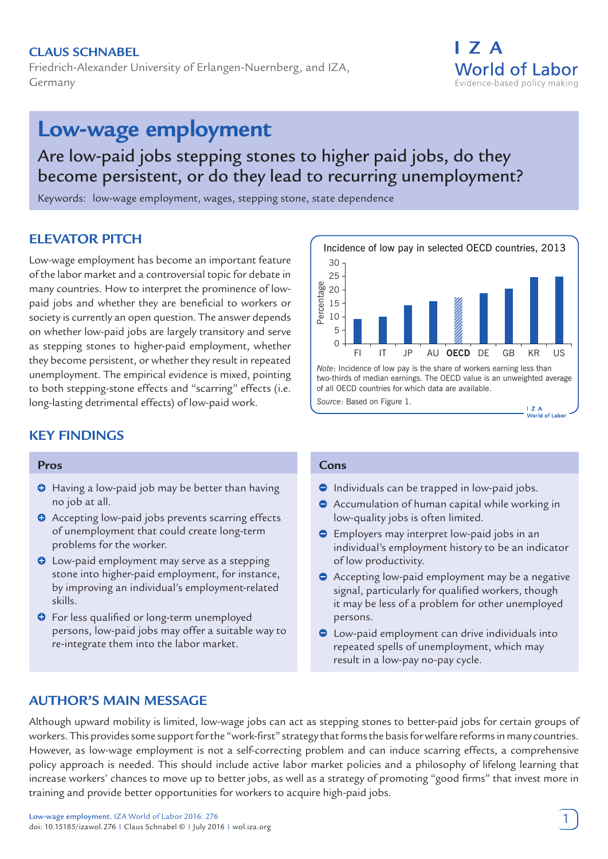# **Claus Schnabel**

Friedrich-Alexander University of Erlangen-Nuernberg, and IZA, Germany

# I 7 A **World of Labor** Evidence-based policy making

# **Low-wage employment**

# Are low-paid jobs stepping stones to higher paid jobs, do they become persistent, or do they lead to recurring unemployment?

Keywords: low-wage employment, wages, stepping stone, state dependence

# **ELEVATOR PITCH**

Low-wage employment has become an important feature of the labor market and a controversial topic for debate in many countries. How to interpret the prominence of lowpaid jobs and whether they are beneficial to workers or society is currently an open question. The answer depends on whether low-paid jobs are largely transitory and serve as stepping stones to higher-paid employment, whether they become persistent, or whether they result in repeated unemployment. The empirical evidence is mixed, pointing to both stepping-stone effects and "scarring" effects (i.e. long-lasting detrimental effects) of low-paid work.

# **KEY FINDINGS**

#### **Pros**

- **O** Having a low-paid job may be better than having no job at all.
- **O** Accepting low-paid jobs prevents scarring effects of unemployment that could create long-term problems for the worker.
- $\bullet$  Low-paid employment may serve as a stepping stone into higher-paid employment, for instance, by improving an individual's employment-related skills.
- **O** For less qualified or long-term unemployed persons, low-paid jobs may offer a suitable way to re-integrate them into the labor market.



#### **Cons**

- $\bullet$  Individuals can be trapped in low-paid jobs.
- Accumulation of human capital while working in  $\bullet$ low-quality jobs is often limited.
- $\Theta$  Employers may interpret low-paid jobs in an individual's employment history to be an indicator of low productivity.
- Accepting low-paid employment may be a negative signal, particularly for qualified workers, though it may be less of a problem for other unemployed persons.
- Low-paid employment can drive individuals into repeated spells of unemployment, which may result in a low-pay no-pay cycle.

# **AUTHOR'S MAIN MESSAGE**

Although upward mobility is limited, low-wage jobs can act as stepping stones to better-paid jobs for certain groups of workers. This provides some support for the "work-first" strategy that forms the basis for welfare reforms in many countries. However, as low-wage employment is not a self-correcting problem and can induce scarring effects, a comprehensive policy approach is needed. This should include active labor market policies and a philosophy of lifelong learning that increase workers' chances to move up to better jobs, as well as a strategy of promoting "good firms" that invest more in training and provide better opportunities for workers to acquire high-paid jobs.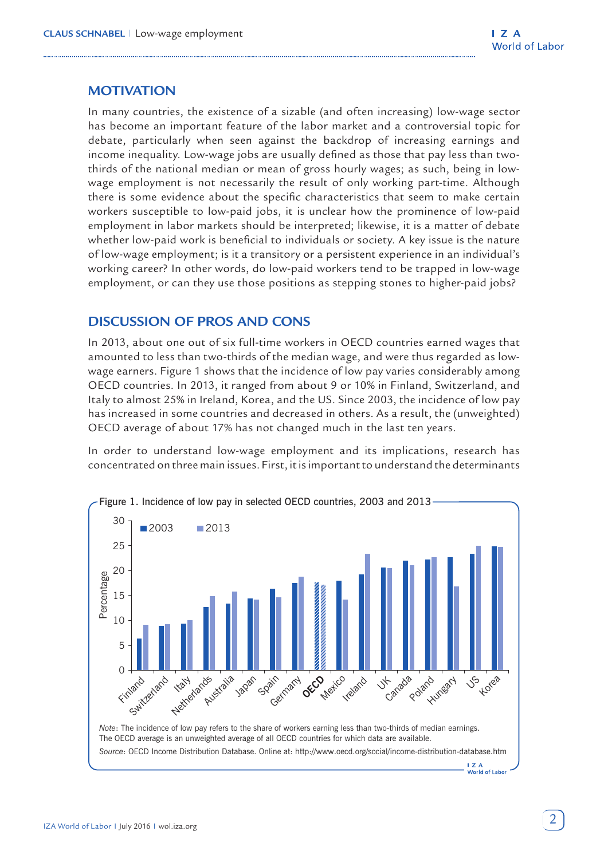# **MOTIVATION**

In many countries, the existence of a sizable (and often increasing) low-wage sector has become an important feature of the labor market and a controversial topic for debate, particularly when seen against the backdrop of increasing earnings and income inequality. Low-wage jobs are usually defined as those that pay less than twothirds of the national median or mean of gross hourly wages; as such, being in lowwage employment is not necessarily the result of only working part-time. Although there is some evidence about the specific characteristics that seem to make certain workers susceptible to low-paid jobs, it is unclear how the prominence of low-paid employment in labor markets should be interpreted; likewise, it is a matter of debate whether low-paid work is beneficial to individuals or society. A key issue is the nature of low-wage employment; is it a transitory or a persistent experience in an individual's working career? In other words, do low-paid workers tend to be trapped in low-wage employment, or can they use those positions as stepping stones to higher-paid jobs?

# **DISCUSSION OF PROS AND CONS**

In 2013, about one out of six full-time workers in OECD countries earned wages that amounted to less than two-thirds of the median wage, and were thus regarded as lowwage earners. Figure 1 shows that the incidence of low pay varies considerably among OECD countries. In 2013, it ranged from about 9 or 10% in Finland, Switzerland, and Italy to almost 25% in Ireland, Korea, and the US. Since 2003, the incidence of low pay has increased in some countries and decreased in others. As a result, the (unweighted) OECD average of about 17% has not changed much in the last ten years.

In order to understand low-wage employment and its implications, research has concentrated on three main issues. First, it is important to understand the determinants



The OECD average is an unweighted average of all OECD countries for which data are available.

 $\overline{I}$  Z A Morld of Labor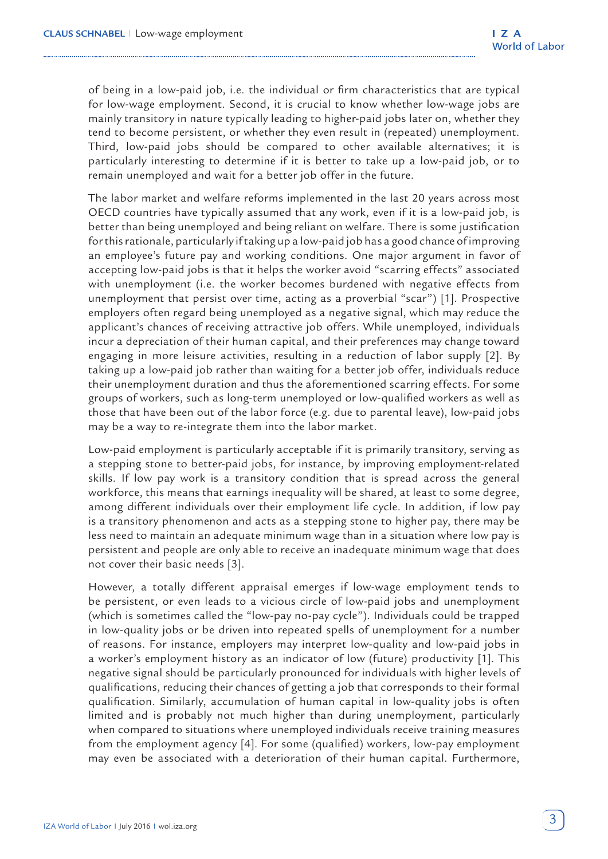of being in a low-paid job, i.e. the individual or firm characteristics that are typical for low-wage employment. Second, it is crucial to know whether low-wage jobs are mainly transitory in nature typically leading to higher-paid jobs later on, whether they tend to become persistent, or whether they even result in (repeated) unemployment. Third, low-paid jobs should be compared to other available alternatives; it is particularly interesting to determine if it is better to take up a low-paid job, or to remain unemployed and wait for a better job offer in the future.

The labor market and welfare reforms implemented in the last 20 years across most OECD countries have typically assumed that any work, even if it is a low-paid job, is better than being unemployed and being reliant on welfare. There is some justification for this rationale, particularly if taking up a low-paid job has a good chance of improving an employee's future pay and working conditions. One major argument in favor of accepting low-paid jobs is that it helps the worker avoid "scarring effects" associated with unemployment (i.e. the worker becomes burdened with negative effects from unemployment that persist over time, acting as a proverbial "scar") [1]. Prospective employers often regard being unemployed as a negative signal, which may reduce the applicant's chances of receiving attractive job offers. While unemployed, individuals incur a depreciation of their human capital, and their preferences may change toward engaging in more leisure activities, resulting in a reduction of labor supply [2]. By taking up a low-paid job rather than waiting for a better job offer, individuals reduce their unemployment duration and thus the aforementioned scarring effects. For some groups of workers, such as long-term unemployed or low-qualified workers as well as those that have been out of the labor force (e.g. due to parental leave), low-paid jobs may be a way to re-integrate them into the labor market.

Low-paid employment is particularly acceptable if it is primarily transitory, serving as a stepping stone to better-paid jobs, for instance, by improving employment-related skills. If low pay work is a transitory condition that is spread across the general workforce, this means that earnings inequality will be shared, at least to some degree, among different individuals over their employment life cycle. In addition, if low pay is a transitory phenomenon and acts as a stepping stone to higher pay, there may be less need to maintain an adequate minimum wage than in a situation where low pay is persistent and people are only able to receive an inadequate minimum wage that does not cover their basic needs [3].

However, a totally different appraisal emerges if low-wage employment tends to be persistent, or even leads to a vicious circle of low-paid jobs and unemployment (which is sometimes called the "low-pay no-pay cycle"). Individuals could be trapped in low-quality jobs or be driven into repeated spells of unemployment for a number of reasons. For instance, employers may interpret low-quality and low-paid jobs in a worker's employment history as an indicator of low (future) productivity [1]. This negative signal should be particularly pronounced for individuals with higher levels of qualifications, reducing their chances of getting a job that corresponds to their formal qualification. Similarly, accumulation of human capital in low-quality jobs is often limited and is probably not much higher than during unemployment, particularly when compared to situations where unemployed individuals receive training measures from the employment agency [4]. For some (qualified) workers, low-pay employment may even be associated with a deterioration of their human capital. Furthermore,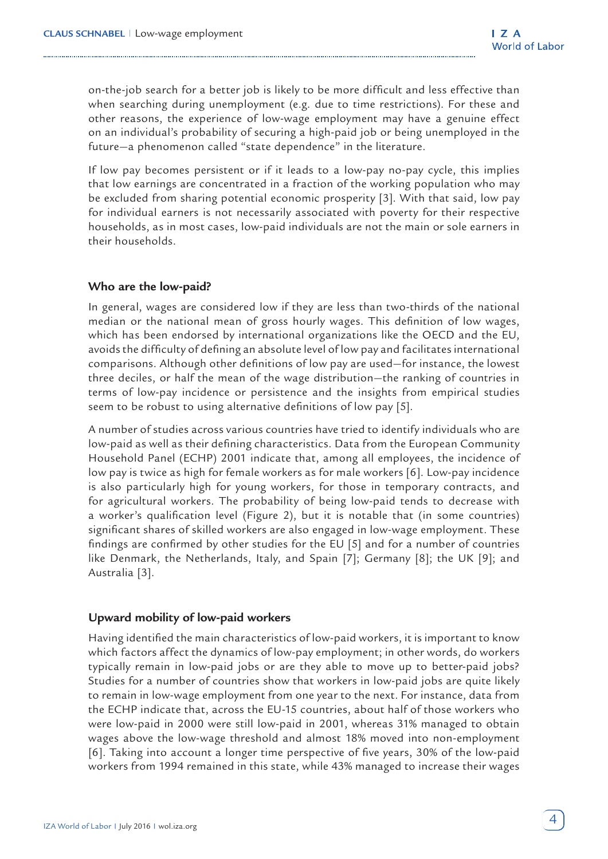on-the-job search for a better job is likely to be more difficult and less effective than when searching during unemployment (e.g. due to time restrictions). For these and other reasons, the experience of low-wage employment may have a genuine effect on an individual's probability of securing a high-paid job or being unemployed in the future—a phenomenon called "state dependence" in the literature.

If low pay becomes persistent or if it leads to a low-pay no-pay cycle, this implies that low earnings are concentrated in a fraction of the working population who may be excluded from sharing potential economic prosperity [3]. With that said, low pay for individual earners is not necessarily associated with poverty for their respective households, as in most cases, low-paid individuals are not the main or sole earners in their households.

#### **Who are the low-paid?**

In general, wages are considered low if they are less than two-thirds of the national median or the national mean of gross hourly wages. This definition of low wages, which has been endorsed by international organizations like the OECD and the EU, avoids the difficulty of defining an absolute level of low pay and facilitates international comparisons. Although other definitions of low pay are used—for instance, the lowest three deciles, or half the mean of the wage distribution—the ranking of countries in terms of low-pay incidence or persistence and the insights from empirical studies seem to be robust to using alternative definitions of low pay [5].

A number of studies across various countries have tried to identify individuals who are low-paid as well as their defining characteristics. Data from the European Community Household Panel (ECHP) 2001 indicate that, among all employees, the incidence of low pay is twice as high for female workers as for male workers [6]. Low-pay incidence is also particularly high for young workers, for those in temporary contracts, and for agricultural workers. The probability of being low-paid tends to decrease with a worker's qualification level (Figure 2), but it is notable that (in some countries) significant shares of skilled workers are also engaged in low-wage employment. These findings are confirmed by other studies for the EU [5] and for a number of countries like Denmark, the Netherlands, Italy, and Spain [7]; Germany [8]; the UK [9]; and Australia [3].

#### **Upward mobility of low-paid workers**

Having identified the main characteristics of low-paid workers, it is important to know which factors affect the dynamics of low-pay employment; in other words, do workers typically remain in low-paid jobs or are they able to move up to better-paid jobs? Studies for a number of countries show that workers in low-paid jobs are quite likely to remain in low-wage employment from one year to the next. For instance, data from the ECHP indicate that, across the EU-15 countries, about half of those workers who were low-paid in 2000 were still low-paid in 2001, whereas 31% managed to obtain wages above the low-wage threshold and almost 18% moved into non-employment [6]. Taking into account a longer time perspective of five years, 30% of the low-paid workers from 1994 remained in this state, while 43% managed to increase their wages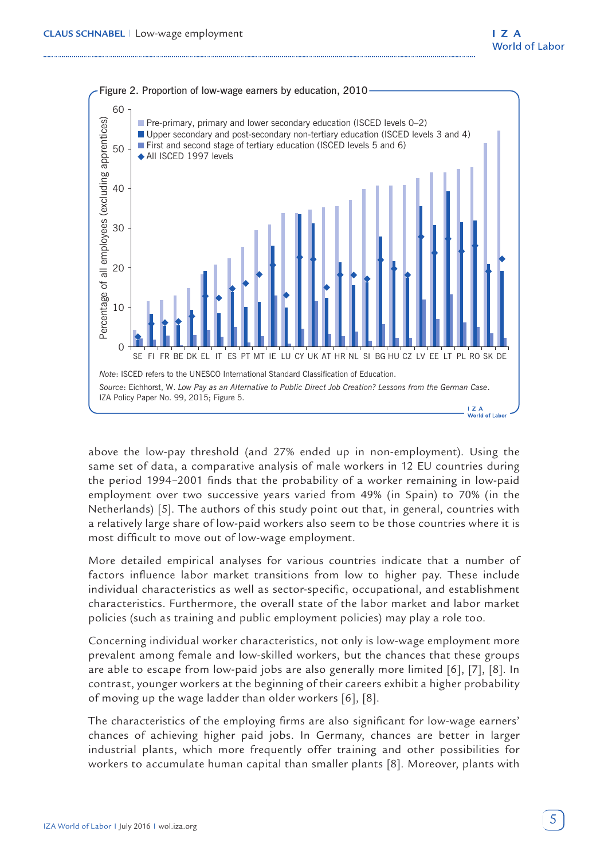

above the low-pay threshold (and 27% ended up in non-employment). Using the same set of data, a comparative analysis of male workers in 12 EU countries during the period 1994−2001 finds that the probability of a worker remaining in low-paid employment over two successive years varied from 49% (in Spain) to 70% (in the Netherlands) [5]. The authors of this study point out that, in general, countries with a relatively large share of low-paid workers also seem to be those countries where it is most difficult to move out of low-wage employment.

More detailed empirical analyses for various countries indicate that a number of factors influence labor market transitions from low to higher pay. These include individual characteristics as well as sector-specific, occupational, and establishment characteristics. Furthermore, the overall state of the labor market and labor market policies (such as training and public employment policies) may play a role too.

Concerning individual worker characteristics, not only is low-wage employment more prevalent among female and low-skilled workers, but the chances that these groups are able to escape from low-paid jobs are also generally more limited [6], [7], [8]. In contrast, younger workers at the beginning of their careers exhibit a higher probability of moving up the wage ladder than older workers [6], [8].

The characteristics of the employing firms are also significant for low-wage earners' chances of achieving higher paid jobs. In Germany, chances are better in larger industrial plants, which more frequently offer training and other possibilities for workers to accumulate human capital than smaller plants [8]. Moreover, plants with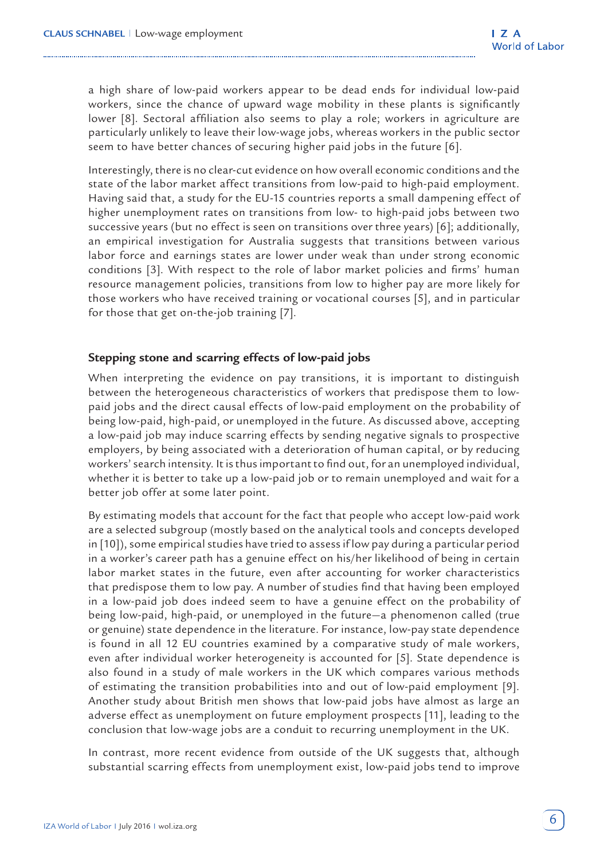a high share of low-paid workers appear to be dead ends for individual low-paid workers, since the chance of upward wage mobility in these plants is significantly lower [8]. Sectoral affiliation also seems to play a role; workers in agriculture are particularly unlikely to leave their low-wage jobs, whereas workers in the public sector seem to have better chances of securing higher paid jobs in the future [6].

Interestingly, there is no clear-cut evidence on how overall economic conditions and the state of the labor market affect transitions from low-paid to high-paid employment. Having said that, a study for the EU-15 countries reports a small dampening effect of higher unemployment rates on transitions from low- to high-paid jobs between two successive years (but no effect is seen on transitions over three years) [6]; additionally, an empirical investigation for Australia suggests that transitions between various labor force and earnings states are lower under weak than under strong economic conditions [3]. With respect to the role of labor market policies and firms' human resource management policies, transitions from low to higher pay are more likely for those workers who have received training or vocational courses [5], and in particular for those that get on-the-job training [7].

#### **Stepping stone and scarring effects of low-paid jobs**

When interpreting the evidence on pay transitions, it is important to distinguish between the heterogeneous characteristics of workers that predispose them to lowpaid jobs and the direct causal effects of low-paid employment on the probability of being low-paid, high-paid, or unemployed in the future. As discussed above, accepting a low-paid job may induce scarring effects by sending negative signals to prospective employers, by being associated with a deterioration of human capital, or by reducing workers' search intensity. It is thus important to find out, for an unemployed individual, whether it is better to take up a low-paid job or to remain unemployed and wait for a better job offer at some later point.

By estimating models that account for the fact that people who accept low-paid work are a selected subgroup (mostly based on the analytical tools and concepts developed in [10]), some empirical studies have tried to assess if low pay during a particular period in a worker's career path has a genuine effect on his/her likelihood of being in certain labor market states in the future, even after accounting for worker characteristics that predispose them to low pay. A number of studies find that having been employed in a low-paid job does indeed seem to have a genuine effect on the probability of being low-paid, high-paid, or unemployed in the future—a phenomenon called (true or genuine) state dependence in the literature. For instance, low-pay state dependence is found in all 12 EU countries examined by a comparative study of male workers, even after individual worker heterogeneity is accounted for [5]. State dependence is also found in a study of male workers in the UK which compares various methods of estimating the transition probabilities into and out of low-paid employment [9]. Another study about British men shows that low-paid jobs have almost as large an adverse effect as unemployment on future employment prospects [11], leading to the conclusion that low-wage jobs are a conduit to recurring unemployment in the UK.

In contrast, more recent evidence from outside of the UK suggests that, although substantial scarring effects from unemployment exist, low-paid jobs tend to improve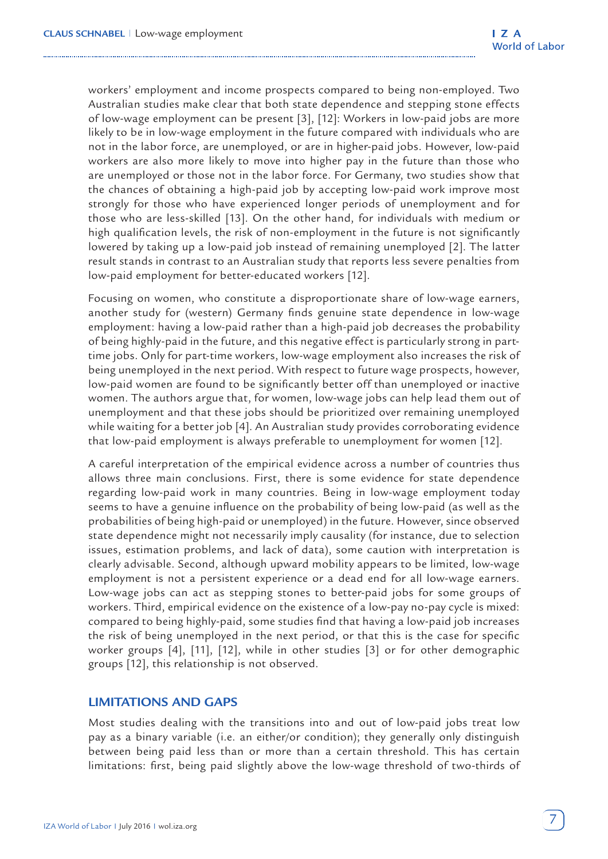workers' employment and income prospects compared to being non-employed. Two Australian studies make clear that both state dependence and stepping stone effects of low-wage employment can be present [3], [12]: Workers in low-paid jobs are more likely to be in low-wage employment in the future compared with individuals who are not in the labor force, are unemployed, or are in higher-paid jobs. However, low-paid workers are also more likely to move into higher pay in the future than those who are unemployed or those not in the labor force. For Germany, two studies show that the chances of obtaining a high-paid job by accepting low-paid work improve most strongly for those who have experienced longer periods of unemployment and for those who are less-skilled [13]. On the other hand, for individuals with medium or high qualification levels, the risk of non-employment in the future is not significantly lowered by taking up a low-paid job instead of remaining unemployed [2]. The latter result stands in contrast to an Australian study that reports less severe penalties from low-paid employment for better-educated workers [12].

Focusing on women, who constitute a disproportionate share of low-wage earners, another study for (western) Germany finds genuine state dependence in low-wage employment: having a low-paid rather than a high-paid job decreases the probability of being highly-paid in the future, and this negative effect is particularly strong in parttime jobs. Only for part-time workers, low-wage employment also increases the risk of being unemployed in the next period. With respect to future wage prospects, however, low-paid women are found to be significantly better off than unemployed or inactive women. The authors argue that, for women, low-wage jobs can help lead them out of unemployment and that these jobs should be prioritized over remaining unemployed while waiting for a better job [4]. An Australian study provides corroborating evidence that low-paid employment is always preferable to unemployment for women [12].

A careful interpretation of the empirical evidence across a number of countries thus allows three main conclusions. First, there is some evidence for state dependence regarding low-paid work in many countries. Being in low-wage employment today seems to have a genuine influence on the probability of being low-paid (as well as the probabilities of being high-paid or unemployed) in the future. However, since observed state dependence might not necessarily imply causality (for instance, due to selection issues, estimation problems, and lack of data), some caution with interpretation is clearly advisable. Second, although upward mobility appears to be limited, low-wage employment is not a persistent experience or a dead end for all low-wage earners. Low-wage jobs can act as stepping stones to better-paid jobs for some groups of workers. Third, empirical evidence on the existence of a low-pay no-pay cycle is mixed: compared to being highly-paid, some studies find that having a low-paid job increases the risk of being unemployed in the next period, or that this is the case for specific worker groups [4], [11], [12], while in other studies [3] or for other demographic groups [12], this relationship is not observed.

## **LIMITATIONS AND GAPS**

Most studies dealing with the transitions into and out of low-paid jobs treat low pay as a binary variable (i.e. an either/or condition); they generally only distinguish between being paid less than or more than a certain threshold. This has certain limitations: first, being paid slightly above the low-wage threshold of two-thirds of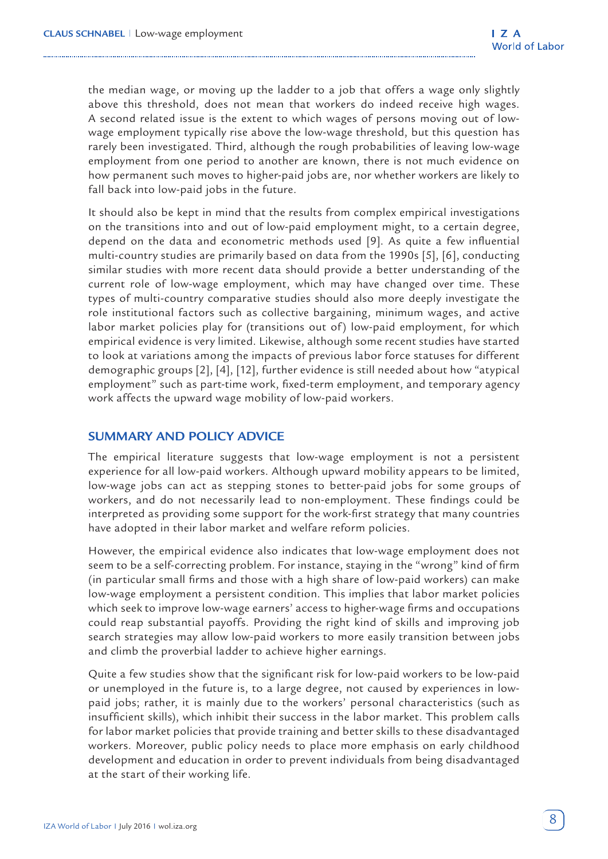the median wage, or moving up the ladder to a job that offers a wage only slightly above this threshold, does not mean that workers do indeed receive high wages. A second related issue is the extent to which wages of persons moving out of lowwage employment typically rise above the low-wage threshold, but this question has rarely been investigated. Third, although the rough probabilities of leaving low-wage employment from one period to another are known, there is not much evidence on how permanent such moves to higher-paid jobs are, nor whether workers are likely to fall back into low-paid jobs in the future.

It should also be kept in mind that the results from complex empirical investigations on the transitions into and out of low-paid employment might, to a certain degree, depend on the data and econometric methods used [9]. As quite a few influential multi-country studies are primarily based on data from the 1990s [5], [6], conducting similar studies with more recent data should provide a better understanding of the current role of low-wage employment, which may have changed over time. These types of multi-country comparative studies should also more deeply investigate the role institutional factors such as collective bargaining, minimum wages, and active labor market policies play for (transitions out of) low-paid employment, for which empirical evidence is very limited. Likewise, although some recent studies have started to look at variations among the impacts of previous labor force statuses for different demographic groups [2], [4], [12], further evidence is still needed about how "atypical employment" such as part-time work, fixed-term employment, and temporary agency work affects the upward wage mobility of low-paid workers.

## **SUMMARY AND POLICY ADVICE**

The empirical literature suggests that low-wage employment is not a persistent experience for all low-paid workers. Although upward mobility appears to be limited, low-wage jobs can act as stepping stones to better-paid jobs for some groups of workers, and do not necessarily lead to non-employment. These findings could be interpreted as providing some support for the work-first strategy that many countries have adopted in their labor market and welfare reform policies.

However, the empirical evidence also indicates that low-wage employment does not seem to be a self-correcting problem. For instance, staying in the "wrong" kind of firm (in particular small firms and those with a high share of low-paid workers) can make low-wage employment a persistent condition. This implies that labor market policies which seek to improve low-wage earners' access to higher-wage firms and occupations could reap substantial payoffs. Providing the right kind of skills and improving job search strategies may allow low-paid workers to more easily transition between jobs and climb the proverbial ladder to achieve higher earnings.

Quite a few studies show that the significant risk for low-paid workers to be low-paid or unemployed in the future is, to a large degree, not caused by experiences in lowpaid jobs; rather, it is mainly due to the workers' personal characteristics (such as insufficient skills), which inhibit their success in the labor market. This problem calls for labor market policies that provide training and better skills to these disadvantaged workers. Moreover, public policy needs to place more emphasis on early childhood development and education in order to prevent individuals from being disadvantaged at the start of their working life.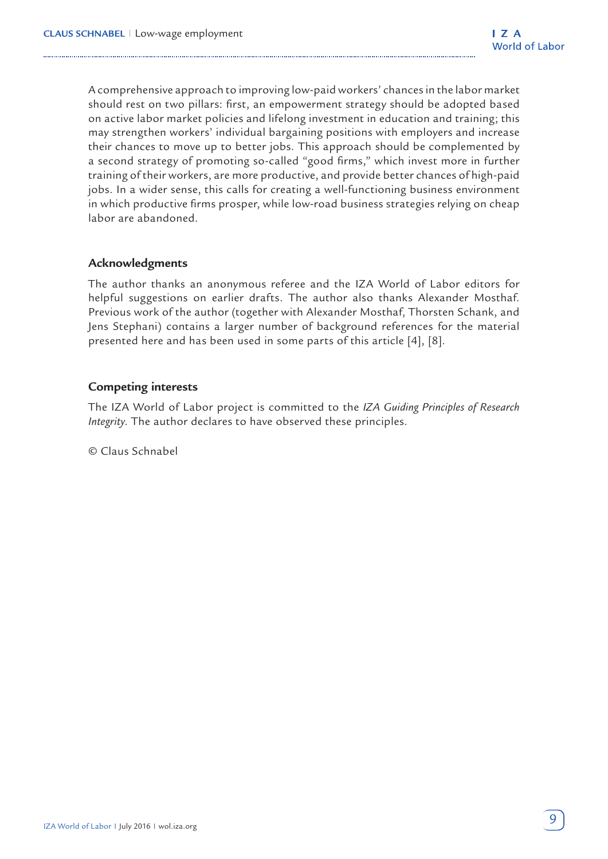A comprehensive approach to improving low-paid workers' chances in the labor market should rest on two pillars: first, an empowerment strategy should be adopted based on active labor market policies and lifelong investment in education and training; this may strengthen workers' individual bargaining positions with employers and increase their chances to move up to better jobs. This approach should be complemented by a second strategy of promoting so-called "good firms," which invest more in further training of their workers, are more productive, and provide better chances of high-paid jobs. In a wider sense, this calls for creating a well-functioning business environment in which productive firms prosper, while low-road business strategies relying on cheap labor are abandoned.

## **Acknowledgments**

The author thanks an anonymous referee and the IZA World of Labor editors for helpful suggestions on earlier drafts. The author also thanks Alexander Mosthaf. Previous work of the author (together with Alexander Mosthaf, Thorsten Schank, and Jens Stephani) contains a larger number of background references for the material presented here and has been used in some parts of this article [4], [8].

## **Competing interests**

The IZA World of Labor project is committed to the *IZA Guiding Principles of Research Integrity*. The author declares to have observed these principles.

© Claus Schnabel